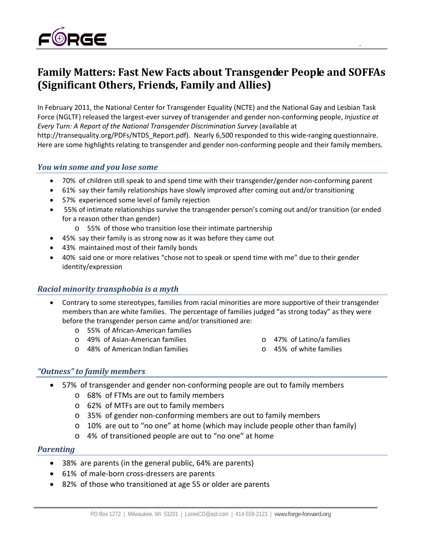

# **Family Matters: Fast New Facts about Transgender People and SOFFAs (Significant Others, Friends, Family and Allies)**

In February 2011, the National Center for Transgender Equality (NCTE) and the National Gay and Lesbian Task Force (NGLTF) released the largest‐ever survey of transgender and gender non‐conforming people, *Injustice at Every Turn: A Report of the National Transgender Discrimination Survey* (available at http://transequality.org/PDFs/NTDS\_Report.pdf). Nearly 6,500 responded to this wide-ranging questionnaire. Here are some highlights relating to transgender and gender non-conforming people and their family members.

## *You win some and you lose some*

- 70% of children still speak to and spend time with their transgender/gender non-conforming parent
- 61% say their family relationships have slowly improved after coming out and/or transitioning
- 57% experienced some level of family rejection
- 55% of intimate relationships survive the transgender person's coming out and/or transition (or ended for a reason other than gender)
	- o 55% of those who transition lose their intimate partnership
- 45% say their family is as strong now as it was before they came out
- 43% maintained most of their family bonds
- 40% said one or more relatives "chose not to speak or spend time with me" due to their gender identity/expression

## *Racial minority transphobia is a myth*

- Contrary to some stereotypes, families from racial minorities are more supportive of their transgender members than are white families. The percentage of families judged "as strong today" as they were before the transgender person came and/or transitioned are:
	- o 55% of African‐American families
	- o 49% of Asian‐American families
	- o 48% of American Indian families
- o 47% of Latino/a families
- o 45% of white families

## *"Outness" to family members*

- 57% of transgender and gender non‐conforming people are out to family members
	- o 68% of FTMs are out to family members
	- o 62% of MTFs are out to family members
	- o 35% of gender non‐conforming members are out to family members
	- o 10% are out to "no one" at home (which may include people other than family)
	- o 4% of transitioned people are out to "no one" at home

#### *Parenting*

- 38% are parents (in the general public, 64% are parents)
- 61% of male-born cross-dressers are parents
- 82% of those who transitioned at age 55 or older are parents